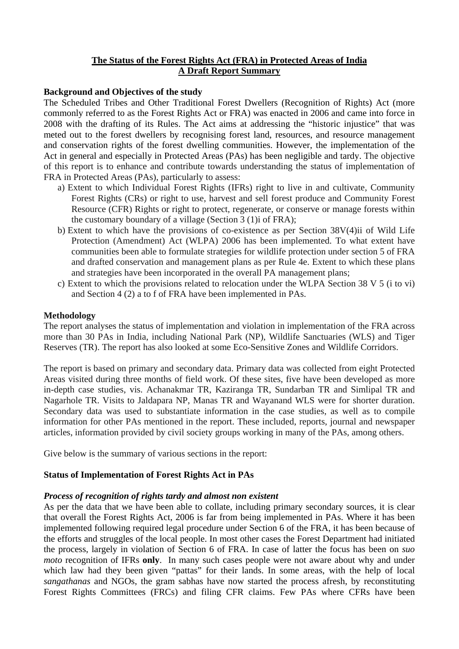# **The Status of the Forest Rights Act (FRA) in Protected Areas of India A Draft Report Summary**

### **Background and Objectives of the study**

The Scheduled Tribes and Other Traditional Forest Dwellers (Recognition of Rights) Act (more commonly referred to as the Forest Rights Act or FRA) was enacted in 2006 and came into force in 2008 with the drafting of its Rules. The Act aims at addressing the "historic injustice" that was meted out to the forest dwellers by recognising forest land, resources, and resource management and conservation rights of the forest dwelling communities. However, the implementation of the Act in general and especially in Protected Areas (PAs) has been negligible and tardy. The objective of this report is to enhance and contribute towards understanding the status of implementation of FRA in Protected Areas (PAs), particularly to assess:

- a) Extent to which Individual Forest Rights (IFRs) right to live in and cultivate, Community Forest Rights (CRs) or right to use, harvest and sell forest produce and Community Forest Resource (CFR) Rights or right to protect, regenerate, or conserve or manage forests within the customary boundary of a village (Section 3 (1)i of FRA);
- b) Extent to which have the provisions of co-existence as per Section 38V(4)ii of Wild Life Protection (Amendment) Act (WLPA) 2006 has been implemented. To what extent have communities been able to formulate strategies for wildlife protection under section 5 of FRA and drafted conservation and management plans as per Rule 4e. Extent to which these plans and strategies have been incorporated in the overall PA management plans;
- c) Extent to which the provisions related to relocation under the WLPA Section 38 V 5 (i to vi) and Section 4 (2) a to f of FRA have been implemented in PAs.

#### **Methodology**

The report analyses the status of implementation and violation in implementation of the FRA across more than 30 PAs in India, including National Park (NP), Wildlife Sanctuaries (WLS) and Tiger Reserves (TR). The report has also looked at some Eco-Sensitive Zones and Wildlife Corridors.

The report is based on primary and secondary data. Primary data was collected from eight Protected Areas visited during three months of field work. Of these sites, five have been developed as more in-depth case studies, vis. Achanakmar TR, Kaziranga TR, Sundarban TR and Simlipal TR and Nagarhole TR. Visits to Jaldapara NP, Manas TR and Wayanand WLS were for shorter duration. Secondary data was used to substantiate information in the case studies, as well as to compile information for other PAs mentioned in the report. These included, reports, journal and newspaper articles, information provided by civil society groups working in many of the PAs, among others.

Give below is the summary of various sections in the report:

### **Status of Implementation of Forest Rights Act in PAs**

### *Process of recognition of rights tardy and almost non existent*

As per the data that we have been able to collate, including primary secondary sources, it is clear that overall the Forest Rights Act, 2006 is far from being implemented in PAs. Where it has been implemented following required legal procedure under Section 6 of the FRA, it has been because of the efforts and struggles of the local people. In most other cases the Forest Department had initiated the process, largely in violation of Section 6 of FRA. In case of latter the focus has been on *suo moto* recognition of IFRs **only**. In many such cases people were not aware about why and under which law had they been given "pattas" for their lands. In some areas, with the help of local *sangathanas* and NGOs, the gram sabhas have now started the process afresh, by reconstituting Forest Rights Committees (FRCs) and filing CFR claims. Few PAs where CFRs have been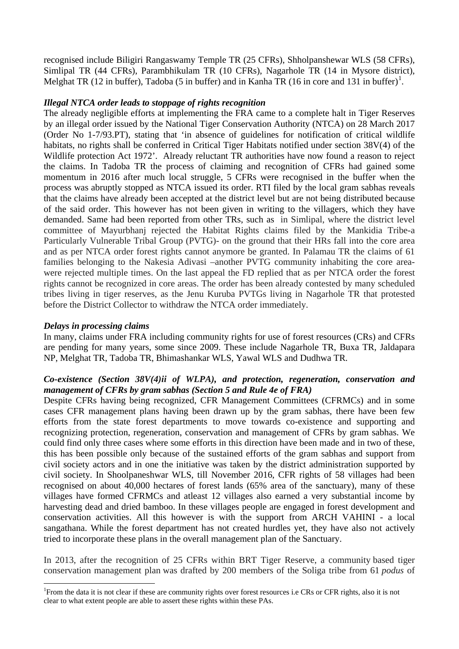recognised include Biligiri Rangaswamy Temple TR (25 CFRs), Shholpanshewar WLS (58 CFRs), Simlipal TR (44 CFRs), Parambhikulam TR (10 CFRs), Nagarhole TR (14 in Mysore district), Melghat TR ([1](#page-1-0)2 in buffer), Tadoba (5 in buffer) and in Kanha TR (16 in core and 131 in buffer)<sup>1</sup>.

### *Illegal NTCA order leads to stoppage of rights recognition*

The already negligible efforts at implementing the FRA came to a complete halt in Tiger Reserves by an illegal order issued by the National Tiger Conservation Authority (NTCA) on 28 March 2017 (Order No 1-7/93.PT), stating that 'in absence of guidelines for notification of critical wildlife habitats, no rights shall be conferred in Critical Tiger Habitats notified under section 38V(4) of the Wildlife protection Act 1972'. Already reluctant TR authorities have now found a reason to reject the claims. In Tadoba TR the process of claiming and recognition of CFRs had gained some momentum in 2016 after much local struggle, 5 CFRs were recognised in the buffer when the process was abruptly stopped as NTCA issued its order. RTI filed by the local gram sabhas reveals that the claims have already been accepted at the district level but are not being distributed because of the said order. This however has not been given in writing to the villagers, which they have demanded. Same had been reported from other TRs, such as in Simlipal, where the district level committee of Mayurbhanj rejected the Habitat Rights claims filed by the Mankidia Tribe-a Particularly Vulnerable Tribal Group (PVTG)- on the ground that their HRs fall into the core area and as per NTCA order forest rights cannot anymore be granted. In Palamau TR the claims of 61 families belonging to the Nakesia Adivasi –another PVTG community inhabiting the core areawere rejected multiple times. On the last appeal the FD replied that as per NTCA order the forest rights cannot be recognized in core areas. The order has been already contested by many scheduled tribes living in tiger reserves, as the Jenu Kuruba PVTGs living in Nagarhole TR that protested before the District Collector to withdraw the NTCA order immediately.

### *Delays in processing claims*

In many, claims under FRA including community rights for use of forest resources (CRs) and CFRs are pending for many years, some since 2009. These include Nagarhole TR, Buxa TR, Jaldapara NP, Melghat TR, Tadoba TR, Bhimashankar WLS, Yawal WLS and Dudhwa TR.

### *Co-existence (Section 38V(4)ii of WLPA), and protection, regeneration, conservation and management of CFRs by gram sabhas (Section 5 and Rule 4e of FRA)*

Despite CFRs having being recognized, CFR Management Committees (CFRMCs) and in some cases CFR management plans having been drawn up by the gram sabhas, there have been few efforts from the state forest departments to move towards co-existence and supporting and recognizing protection, regeneration, conservation and management of CFRs by gram sabhas. We could find only three cases where some efforts in this direction have been made and in two of these, this has been possible only because of the sustained efforts of the gram sabhas and support from civil society actors and in one the initiative was taken by the district administration supported by civil society. In Shoolpaneshwar WLS, till November 2016, CFR rights of 58 villages had been recognised on about 40,000 hectares of forest lands (65% area of the sanctuary), many of these villages have formed CFRMCs and atleast 12 villages also earned a very substantial income by harvesting dead and dried bamboo. In these villages people are engaged in forest development and conservation activities. All this however is with the support from ARCH VAHINI - a local sangathana. While the forest department has not created hurdles yet, they have also not actively tried to incorporate these plans in the overall management plan of the Sanctuary.

In 2013, after the recognition of 25 CFRs within BRT Tiger Reserve, a community based tiger conservation management plan was drafted by 200 members of the Soliga tribe from 61 *podus* of

<span id="page-1-0"></span> $\frac{1}{1}$ From the data it is not clear if these are community rights over forest resources i.e CRs or CFR rights, also it is not clear to what extent people are able to assert these rights within these PAs.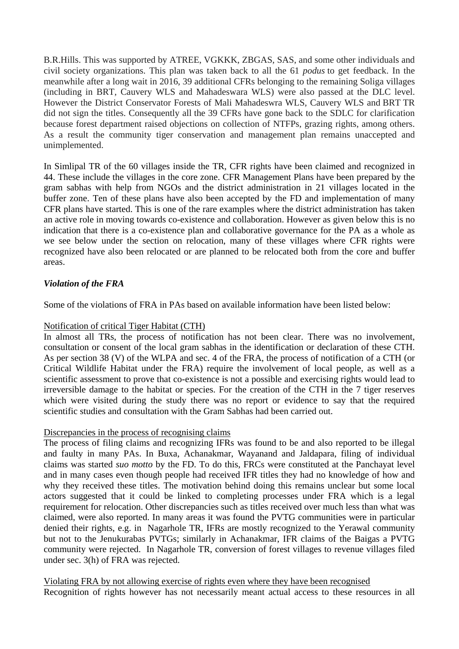B.R.Hills. This was supported by ATREE, VGKKK, ZBGAS, SAS, and some other individuals and civil society organizations. This plan was taken back to all the 61 *podus* to get feedback. In the meanwhile after a long wait in 2016, 39 additional CFRs belonging to the remaining Soliga villages (including in BRT, Cauvery WLS and Mahadeswara WLS) were also passed at the DLC level. However the District Conservator Forests of Mali Mahadeswra WLS, Cauvery WLS and BRT TR did not sign the titles. Consequently all the 39 CFRs have gone back to the SDLC for clarification because forest department raised objections on collection of NTFPs, grazing rights, among others. As a result the community tiger conservation and management plan remains unaccepted and unimplemented.

In Simlipal TR of the 60 villages inside the TR, CFR rights have been claimed and recognized in 44. These include the villages in the core zone. CFR Management Plans have been prepared by the gram sabhas with help from NGOs and the district administration in 21 villages located in the buffer zone. Ten of these plans have also been accepted by the FD and implementation of many CFR plans have started. This is one of the rare examples where the district administration has taken an active role in moving towards co-existence and collaboration. However as given below this is no indication that there is a co-existence plan and collaborative governance for the PA as a whole as we see below under the section on relocation, many of these villages where CFR rights were recognized have also been relocated or are planned to be relocated both from the core and buffer areas.

# *Violation of the FRA*

Some of the violations of FRA in PAs based on available information have been listed below:

## Notification of critical Tiger Habitat (CTH)

In almost all TRs, the process of notification has not been clear. There was no involvement, consultation or consent of the local gram sabhas in the identification or declaration of these CTH. As per section 38 (V) of the WLPA and sec. 4 of the FRA, the process of notification of a CTH (or Critical Wildlife Habitat under the FRA) require the involvement of local people, as well as a scientific assessment to prove that co-existence is not a possible and exercising rights would lead to irreversible damage to the habitat or species. For the creation of the CTH in the 7 tiger reserves which were visited during the study there was no report or evidence to say that the required scientific studies and consultation with the Gram Sabhas had been carried out.

# Discrepancies in the process of recognising claims

The process of filing claims and recognizing IFRs was found to be and also reported to be illegal and faulty in many PAs. In Buxa, Achanakmar, Wayanand and Jaldapara, filing of individual claims was started *suo motto* by the FD. To do this, FRCs were constituted at the Panchayat level and in many cases even though people had received IFR titles they had no knowledge of how and why they received these titles. The motivation behind doing this remains unclear but some local actors suggested that it could be linked to completing processes under FRA which is a legal requirement for relocation. Other discrepancies such as titles received over much less than what was claimed, were also reported. In many areas it was found the PVTG communities were in particular denied their rights, e.g. in Nagarhole TR, IFRs are mostly recognized to the Yerawal community but not to the Jenukurabas PVTGs; similarly in Achanakmar, IFR claims of the Baigas a PVTG community were rejected. In Nagarhole TR, conversion of forest villages to revenue villages filed under sec. 3(h) of FRA was rejected.

Recognition of rights however has not necessarily meant actual access to these resources in all Violating FRA by not allowing exercise of rights even where they have been recognised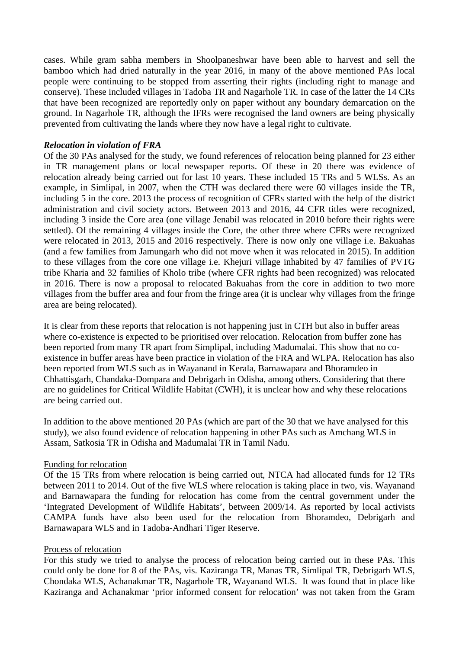cases. While gram sabha members in Shoolpaneshwar have been able to harvest and sell the bamboo which had dried naturally in the year 2016, in many of the above mentioned PAs local people were continuing to be stopped from asserting their rights (including right to manage and conserve). These included villages in Tadoba TR and Nagarhole TR. In case of the latter the 14 CRs that have been recognized are reportedly only on paper without any boundary demarcation on the ground. In Nagarhole TR, although the IFRs were recognised the land owners are being physically prevented from cultivating the lands where they now have a legal right to cultivate.

## *Relocation in violation of FRA*

Of the 30 PAs analysed for the study, we found references of relocation being planned for 23 either in TR management plans or local newspaper reports. Of these in 20 there was evidence of relocation already being carried out for last 10 years. These included 15 TRs and 5 WLSs. As an example, in Simlipal, in 2007, when the CTH was declared there were 60 villages inside the TR, including 5 in the core. 2013 the process of recognition of CFRs started with the help of the district administration and civil society actors. Between 2013 and 2016, 44 CFR titles were recognized, including 3 inside the Core area (one village Jenabil was relocated in 2010 before their rights were settled). Of the remaining 4 villages inside the Core, the other three where CFRs were recognized were relocated in 2013, 2015 and 2016 respectively. There is now only one village i.e. Bakuahas (and a few families from Jamungarh who did not move when it was relocated in 2015). In addition to these villages from the core one village i.e. Khejuri village inhabited by 47 families of PVTG tribe Kharia and 32 families of Kholo tribe (where CFR rights had been recognized) was relocated in 2016. There is now a proposal to relocated Bakuahas from the core in addition to two more villages from the buffer area and four from the fringe area (it is unclear why villages from the fringe area are being relocated).

It is clear from these reports that relocation is not happening just in CTH but also in buffer areas where co-existence is expected to be prioritised over relocation. Relocation from buffer zone has been reported from many TR apart from Simplipal, including Madumalai. This show that no coexistence in buffer areas have been practice in violation of the FRA and WLPA. Relocation has also been reported from WLS such as in Wayanand in Kerala, Barnawapara and Bhoramdeo in Chhattisgarh, Chandaka-Dompara and Debrigarh in Odisha, among others. Considering that there are no guidelines for Critical Wildlife Habitat (CWH), it is unclear how and why these relocations are being carried out.

In addition to the above mentioned 20 PAs (which are part of the 30 that we have analysed for this study), we also found evidence of relocation happening in other PAs such as Amchang WLS in Assam, Satkosia TR in Odisha and Madumalai TR in Tamil Nadu.

### Funding for relocation

Of the 15 TRs from where relocation is being carried out, NTCA had allocated funds for 12 TRs between 2011 to 2014. Out of the five WLS where relocation is taking place in two, vis. Wayanand and Barnawapara the funding for relocation has come from the central government under the 'Integrated Development of Wildlife Habitats', between 2009/14. As reported by local activists CAMPA funds have also been used for the relocation from Bhoramdeo, Debrigarh and Barnawapara WLS and in Tadoba-Andhari Tiger Reserve.

### Process of relocation

For this study we tried to analyse the process of relocation being carried out in these PAs. This could only be done for 8 of the PAs, vis. Kaziranga TR, Manas TR, Simlipal TR, Debrigarh WLS, Chondaka WLS, Achanakmar TR, Nagarhole TR, Wayanand WLS. It was found that in place like Kaziranga and Achanakmar 'prior informed consent for relocation' was not taken from the Gram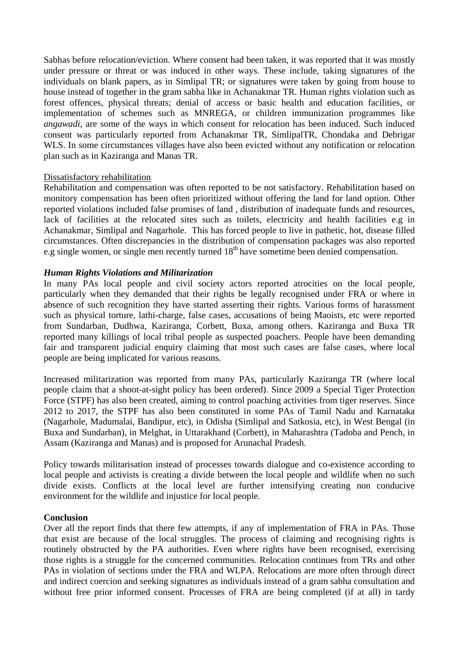Sabhas before relocation/eviction. Where consent had been taken, it was reported that it was mostly under pressure or threat or was induced in other ways. These include, taking signatures of the individuals on blank papers, as in Simlipal TR; or signatures were taken by going from house to house instead of together in the gram sabha like in Achanakmar TR. Human rights violation such as forest offences, physical threats; denial of access or basic health and education facilities, or implementation of schemes such as MNREGA, or children immunization programmes like *angawadi*, are some of the ways in which consent for relocation has been induced. Such induced consent was particularly reported from Achanakmar TR, SimlipalTR, Chondaka and Debrigar WLS. In some circumstances villages have also been evicted without any notification or relocation plan such as in Kaziranga and Manas TR.

### Dissatisfactory rehabilitation

Rehabilitation and compensation was often reported to be not satisfactory. Rehabilitation based on monitory compensation has been often prioritized without offering the land for land option. Other reported violations included false promises of land , distribution of inadequate funds and resources, lack of facilities at the relocated sites such as toilets, electricity and health facilities e.g in Achanakmar, Simlipal and Nagarhole. This has forced people to live in pathetic, hot, disease filled circumstances. Often discrepancies in the distribution of compensation packages was also reported e.g single women, or single men recently turned 18<sup>th</sup> have sometime been denied compensation.

### *Human Rights Violations and Militarization*

In many PAs local people and civil society actors reported atrocities on the local people, particularly when they demanded that their rights be legally recognised under FRA or where in absence of such recognition they have started asserting their rights. Various forms of harassment such as physical torture, lathi-charge, false cases, accusations of being Maoists, etc were reported from Sundarban, Dudhwa, Kaziranga, Corbett, Buxa, among others. Kaziranga and Buxa TR reported many killings of local tribal people as suspected poachers. People have been demanding fair and transparent judicial enquiry claiming that most such cases are false cases, where local people are being implicated for various reasons.

Increased militarization was reported from many PAs, particularly Kaziranga TR (where local people claim that a shoot-at-sight policy has been ordered). Since 2009 a Special Tiger Protection Force (STPF) has also been created, aiming to control poaching activities from tiger reserves. Since 2012 to 2017, the STPF has also been constituted in some PAs of Tamil Nadu and Karnataka (Nagarhole, Madumalai, Bandipur, etc), in Odisha (Simlipal and Satkosia, etc), in West Bengal (in Buxa and Sundarban), in Melghat, in Uttarakhand (Corbett), in Maharashtra (Tadoba and Pench, in Assam (Kaziranga and Manas) and is proposed for Arunachal Pradesh.

Policy towards militarisation instead of processes towards dialogue and co-existence according to local people and activists is creating a divide between the local people and wildlife when no such divide exists. Conflicts at the local level are further intensifying creating non conducive environment for the wildlife and injustice for local people.

### **Conclusion**

Over all the report finds that there few attempts, if any of implementation of FRA in PAs. Those that exist are because of the local struggles. The process of claiming and recognising rights is routinely obstructed by the PA authorities. Even where rights have been recognised, exercising those rights is a struggle for the concerned communities. Relocation continues from TRs and other PAs in violation of sections under the FRA and WLPA. Relocations are more often through direct and indirect coercion and seeking signatures as individuals instead of a gram sabha consultation and without free prior informed consent. Processes of FRA are being completed (if at all) in tardy